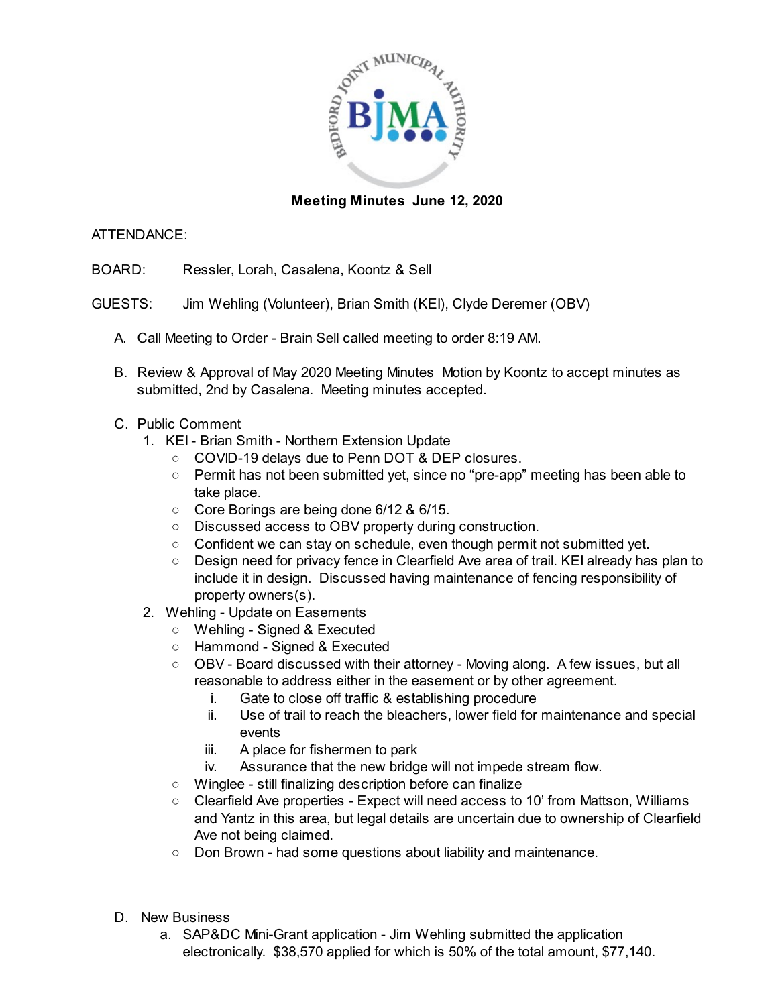

## **Meeting Minutes June 12, 2020**

## ATTENDANCE:

BOARD: Ressler, Lorah, Casalena, Koontz & Sell

- GUESTS: Jim Wehling (Volunteer), Brian Smith (KEI), Clyde Deremer (OBV)
	- A. Call Meeting to Order Brain Sell called meeting to order 8:19 AM.
	- B. Review & Approval of May 2020 Meeting Minutes Motion by Koontz to accept minutes as submitted, 2nd by Casalena. Meeting minutes accepted.
	- C. Public Comment
		- 1. KEI Brian Smith Northern Extension Update
			- COVID-19 delays due to Penn DOT & DEP closures.
			- Permit has not been submitted yet, since no "pre-app" meeting has been able to take place.
			- Core Borings are being done 6/12 & 6/15.
			- Discussed access to OBV property during construction.
			- Confident we can stay on schedule, even though permit not submitted yet.
			- Design need for privacy fence in Clearfield Ave area of trail. KEI already has plan to include it in design. Discussed having maintenance of fencing responsibility of property owners(s).
		- 2. Wehling Update on Easements
			- Wehling Signed & Executed
			- Hammond Signed & Executed
			- OBV Board discussed with their attorney Moving along. A few issues, but all reasonable to address either in the easement or by other agreement.
				- i. Gate to close off traffic & establishing procedure
				- ii. Use of trail to reach the bleachers, lower field for maintenance and special events
				- iii. A place for fishermen to park
				- iv. Assurance that the new bridge will not impede stream flow.
			- Winglee still finalizing description before can finalize
			- Clearfield Ave properties Expect will need access to 10' from Mattson, Williams and Yantz in this area, but legal details are uncertain due to ownership of Clearfield Ave not being claimed.
			- Don Brown had some questions about liability and maintenance.
	- D. New Business
		- a. SAP&DC Mini-Grant application Jim Wehling submitted the application electronically. \$38,570 applied for which is 50% of the total amount, \$77,140.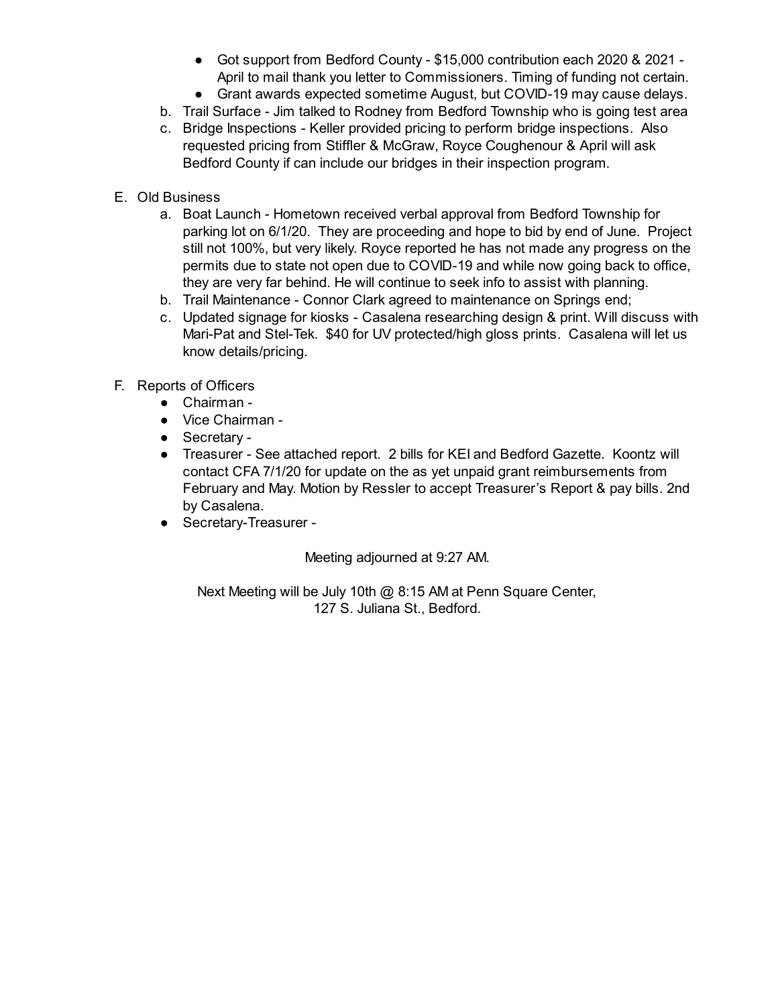- Got support from Bedford County \$15,000 contribution each 2020 & 2021 -April to mail thank you letter to Commissioners. Timing of funding not certain.
- Grant awards expected sometime August, but COVID-19 may cause delays.
- b. Trail Surface Jim talked to Rodney from Bedford Township who is going test area
- c. Bridge Inspections Keller provided pricing to perform bridge inspections. Also requested pricing from Stiffler & McGraw, Royce Coughenour & April will ask Bedford County if can include our bridges in their inspection program.
- E. Old Business
	- a. Boat Launch Hometown received verbal approval from Bedford Township for parking lot on 6/1/20. They are proceeding and hope to bid by end of June. Project still not 100%, but very likely. Royce reported he has not made any progress on the permits due to state not open due to COVID-19 and while now going back to office, they are very far behind. He will continue to seek info to assist with planning.
	- b. Trail Maintenance Connor Clark agreed to maintenance on Springs end;
	- c. Updated signage for kiosks Casalena researching design & print. Will discuss with Mari-Pat and Stel-Tek. \$40 for UV protected/high gloss prints. Casalena will let us know details/pricing.
- F. Reports of Officers
	- Chairman -
	- Vice Chairman -
	- Secretary -
	- Treasurer See attached report. 2 bills for KEI and Bedford Gazette. Koontz will contact CFA 7/1/20 for update on the as yet unpaid grant reimbursements from February and May. Motion by Ressler to accept Treasurer's Report & pay bills. 2nd by Casalena.
	- Secretary-Treasurer -

Meeting adjourned at 9:27 AM.

Next Meeting will be July 10th @ 8:15 AM at Penn Square Center, 127 S. Juliana St., Bedford.